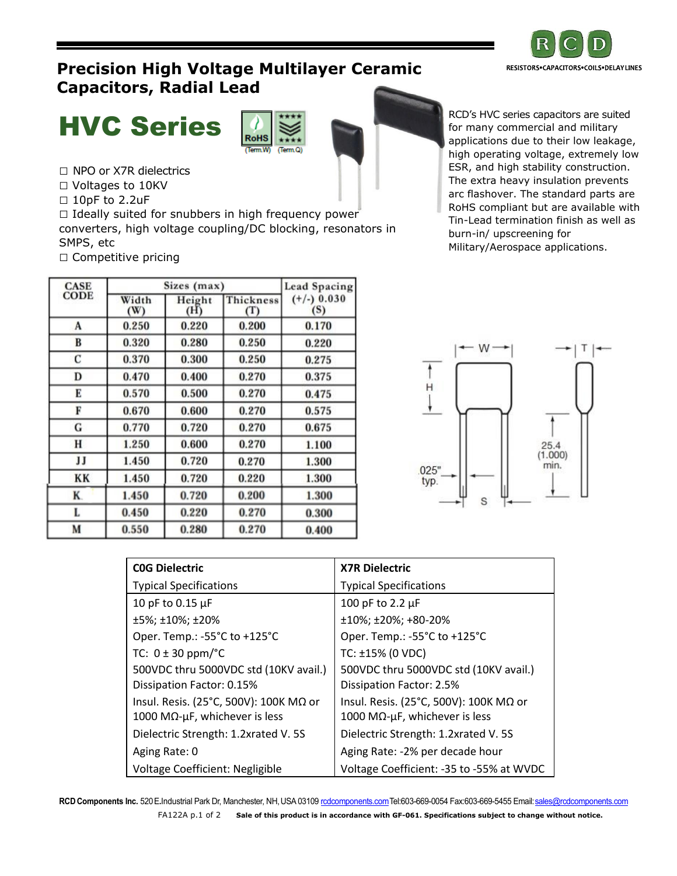

## **Precision High Voltage Multilayer Ceramic Capacitors, Radial Lead**



□ NPO or X7R dielectrics

□ Voltages to 10KV

□ 10pF to 2.2uF

 $\square$  Ideally suited for snubbers in high frequency power converters, high voltage coupling/DC blocking, resonators in SMPS, etc □ Competitive pricing

| <b>CASE</b> |              | Sizes (max)   |                             | Lead Spacing         |  |
|-------------|--------------|---------------|-----------------------------|----------------------|--|
| <b>CODE</b> | Width<br>(W) | Height<br>(H) | Thickness<br>$(\mathrm{T})$ | $(+/-)$ 0.030<br>(S) |  |
| A           | 0.250        | 0.220         | 0.200                       | 0.170                |  |
| B           | 0.320        | 0.280         | 0.250                       | 0.220                |  |
| C           | 0.370        | 0.300         | 0.250                       | 0.275                |  |
| D           | 0.470        | 0.400         | 0.270                       | 0.375                |  |
| Е           | 0.570        | 0.500         | 0.270                       | 0.475                |  |
| F           | 0.670        | 0.600         | 0.270                       | 0.575                |  |
| G           | 0.770        | 0.720         | 0.270                       | 0.675                |  |
| н           | 1.250        | 0.600         | 0.270                       | 1.100                |  |
| IJ          | 1.450        | 0.720         | 0.270                       | 1.300                |  |
| KK          | 1.450        | 0.720         | 0.220                       | 1.300                |  |
| K.          | 1.450        | 0.720         | 0.200                       | 1.300                |  |
| L           | 0.450        | 0.220         | 0.270                       | 0.300                |  |
| M           | 0.550        | 0.280         | 0.270                       | 0.400                |  |

**HVC Series** Routs Review of the Contract of the Contract of the Contract of the Contract of the Contract of the Contract of the Contract of the Contract of the Contract of the Contract of the Contract of the Contract of t for many commercial and military applications due to their low leakage, high operating voltage, extremely low ESR, and high stability construction. The extra heavy insulation prevents arc flashover. The standard parts are RoHS compliant but are available with Tin-Lead termination finish as well as burn-in/ upscreening for Military/Aerospace applications.



| <b>COG Dielectric</b>                  | <b>X7R Dielectric</b>                    |  |  |
|----------------------------------------|------------------------------------------|--|--|
| <b>Typical Specifications</b>          | <b>Typical Specifications</b>            |  |  |
| 10 pF to 0.15 µF                       | 100 pF to 2.2 µF                         |  |  |
| ±5%; ±10%; ±20%                        | $±10\%; ±20\%; +80-20\%$                 |  |  |
| Oper. Temp.: -55°C to +125°C           | Oper. Temp.: -55°C to +125°C             |  |  |
| TC: $0 \pm 30$ ppm/ $^{\circ}$ C       | TC: ±15% (0 VDC)                         |  |  |
| 500VDC thru 5000VDC std (10KV avail.)  | 500VDC thru 5000VDC std (10KV avail.)    |  |  |
| Dissipation Factor: 0.15%              | Dissipation Factor: 2.5%                 |  |  |
| Insul. Resis. (25°C, 500V): 100K MΩ or | Insul. Resis. (25°C, 500V): 100K MΩ or   |  |  |
| 1000 MΩ-μF, whichever is less          | 1000 MΩ-μF, whichever is less            |  |  |
| Dielectric Strength: 1.2xrated V. 5S   | Dielectric Strength: 1.2xrated V. 5S     |  |  |
| Aging Rate: 0                          | Aging Rate: -2% per decade hour          |  |  |
| Voltage Coefficient: Negligible        | Voltage Coefficient: -35 to -55% at WVDC |  |  |

 **RCD Components Inc.** 520E**.**Industrial Park Dr, Manchester, NH,USA 0310[9 rcdcomponents.comT](http://www.rcdcomponents.com/)el:603-669-0054 Fax:603-669-5455 Email[:sales@rcdcomponents.com](mailto:sales@rcdcomponents.com) FA122A p.1 of 2 **Sale of this product is in accordance with GF-061. Specifications subject to change without notice.**